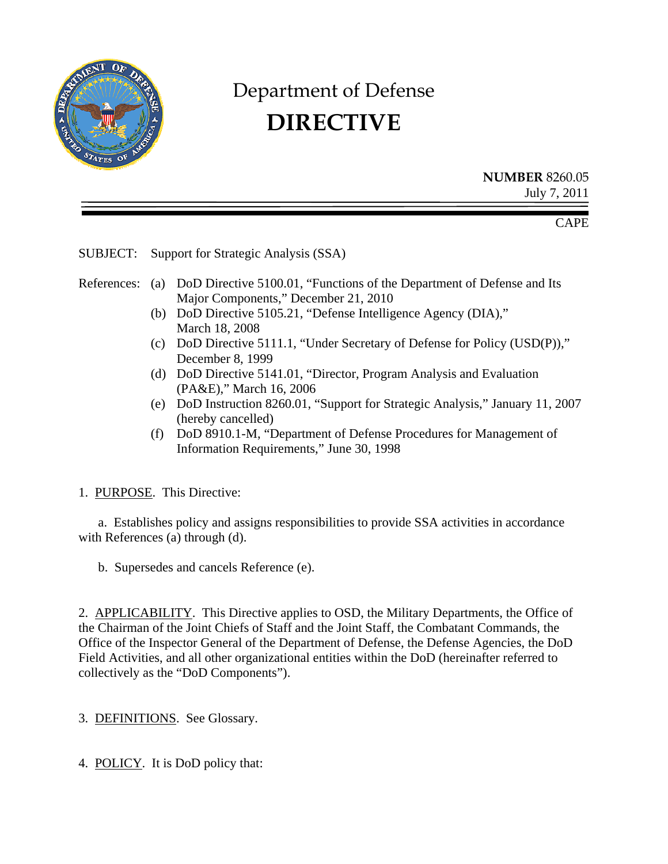

# Department of Defense **DIRECTIVE**

**NUMBER** 8260.05 July 7, 2011

CAPE

SUBJECT: Support for Strategic Analysis (SSA)

- References: (a) DoD Directive 5100.01, "Functions of the Department of Defense and Its Major Components," December 21, 2010
	- (b) DoD Directive 5105.21, "Defense Intelligence Agency (DIA)," March 18, 2008
	- (c) DoD Directive 5111.1, "Under Secretary of Defense for Policy (USD(P))," December 8, 1999
	- (d) DoD Directive 5141.01, "Director, Program Analysis and Evaluation (PA&E)," March 16, 2006
	- (e) DoD Instruction 8260.01, "Support for Strategic Analysis," January 11, 2007 (hereby cancelled)
	- (f) DoD 8910.1-M, "Department of Defense Procedures for Management of Information Requirements," June 30, 1998

## 1. PURPOSE. This Directive:

 a. Establishes policy and assigns responsibilities to provide SSA activities in accordance with References (a) through (d).

b. Supersedes and cancels Reference (e).

2. APPLICABILITY. This Directive applies to OSD, the Military Departments, the Office of the Chairman of the Joint Chiefs of Staff and the Joint Staff, the Combatant Commands, the Office of the Inspector General of the Department of Defense, the Defense Agencies, the DoD Field Activities, and all other organizational entities within the DoD (hereinafter referred to collectively as the "DoD Components").

3. DEFINITIONS. See Glossary.

4. POLICY. It is DoD policy that: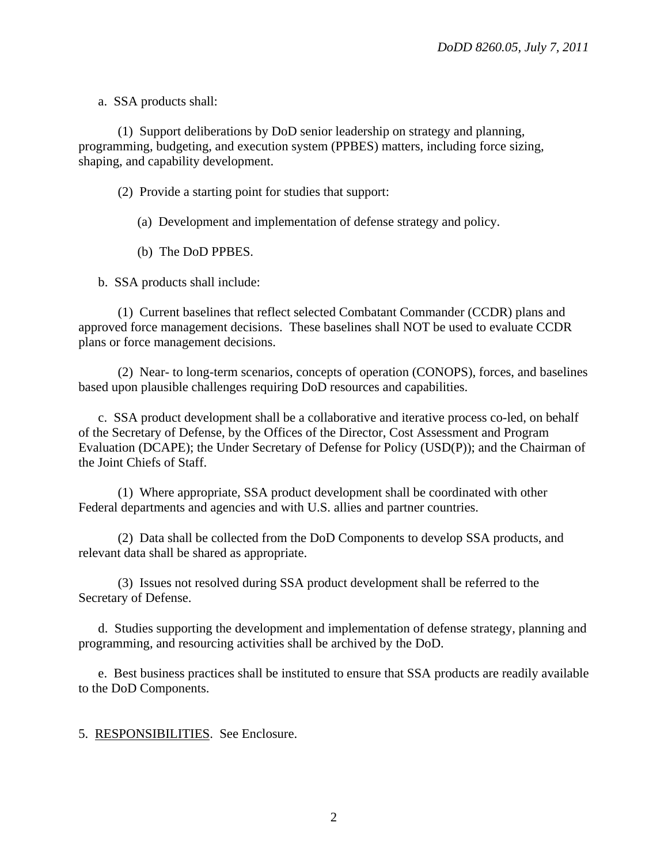a. SSA products shall:

(1) Support deliberations by DoD senior leadership on strategy and planning, programming, budgeting, and execution system (PPBES) matters, including force sizing, shaping, and capability development.

(2) Provide a starting point for studies that support:

(a) Development and implementation of defense strategy and policy.

(b) The DoD PPBES.

b. SSA products shall include:

 (1) Current baselines that reflect selected Combatant Commander (CCDR) plans and approved force management decisions. These baselines shall NOT be used to evaluate CCDR plans or force management decisions.

 (2) Near- to long-term scenarios, concepts of operation (CONOPS), forces, and baselines based upon plausible challenges requiring DoD resources and capabilities.

c. SSA product development shall be a collaborative and iterative process co-led, on behalf of the Secretary of Defense, by the Offices of the Director, Cost Assessment and Program Evaluation (DCAPE); the Under Secretary of Defense for Policy (USD(P)); and the Chairman of the Joint Chiefs of Staff.

 (1) Where appropriate, SSA product development shall be coordinated with other Federal departments and agencies and with U.S. allies and partner countries.

 (2) Data shall be collected from the DoD Components to develop SSA products, and relevant data shall be shared as appropriate.

 (3) Issues not resolved during SSA product development shall be referred to the Secretary of Defense.

d. Studies supporting the development and implementation of defense strategy, planning and programming, and resourcing activities shall be archived by the DoD.

e. Best business practices shall be instituted to ensure that SSA products are readily available to the DoD Components.

5. RESPONSIBILITIES. See Enclosure.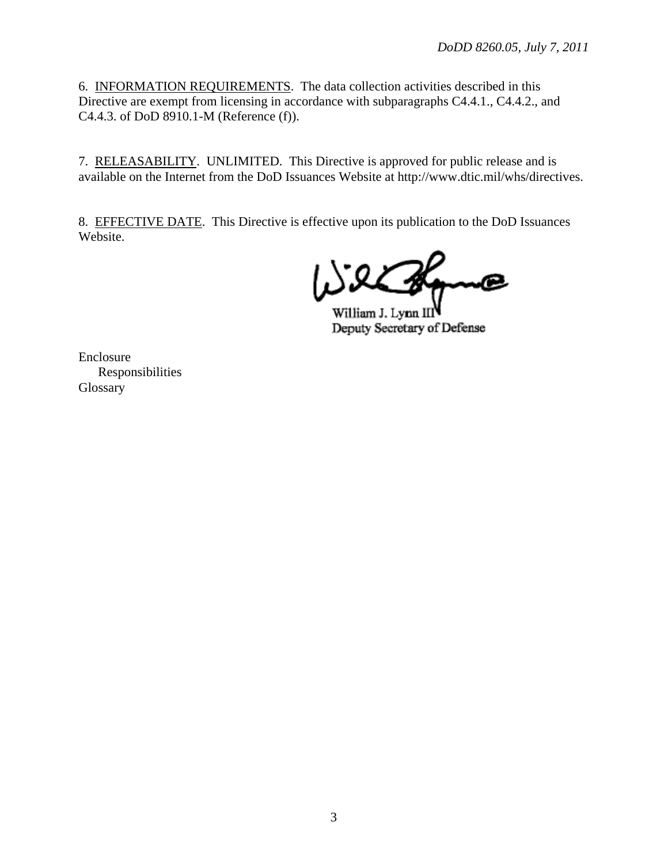6. INFORMATION REQUIREMENTS. The data collection activities described in this Directive are exempt from licensing in accordance with subparagraphs C4.4.1., C4.4.2., and C4.4.3. of DoD 8910.1-M (Reference (f)).

7. RELEASABILITY. UNLIMITED. This Directive is approved for public release and is available on the Internet from the DoD Issuances Website at http://www.dtic.mil/whs/directives.

8. EFFECTIVE DATE. This Directive is effective upon its publication to the DoD Issuances Website.

William J. Lynn I Deputy Secretary of Defense

Enclosure Responsibilities Glossary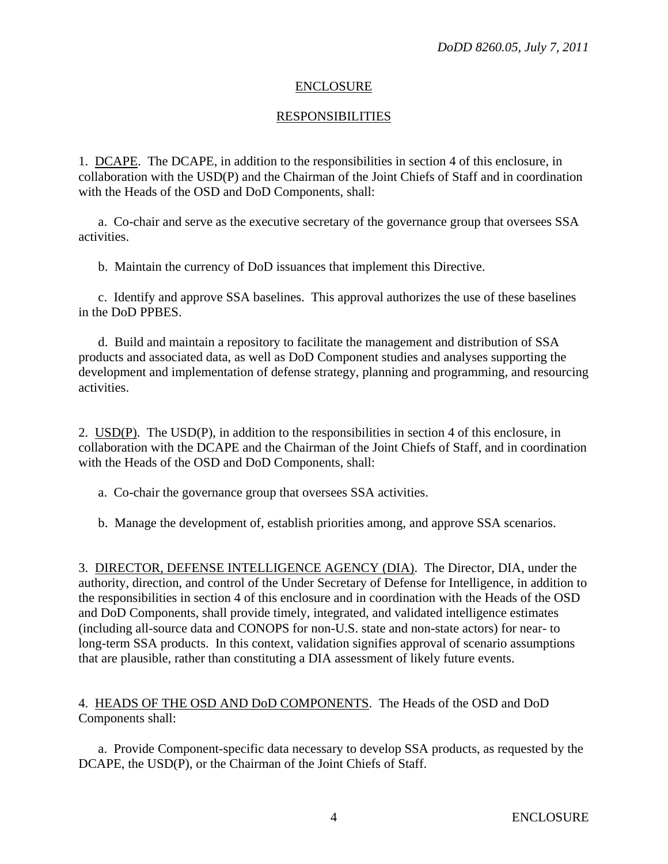#### ENCLOSURE

### RESPONSIBILITIES

1. DCAPE. The DCAPE, in addition to the responsibilities in section 4 of this enclosure, in collaboration with the USD(P) and the Chairman of the Joint Chiefs of Staff and in coordination with the Heads of the OSD and DoD Components, shall:

a. Co-chair and serve as the executive secretary of the governance group that oversees SSA activities.

b. Maintain the currency of DoD issuances that implement this Directive.

c. Identify and approve SSA baselines. This approval authorizes the use of these baselines in the DoD PPBES.

d. Build and maintain a repository to facilitate the management and distribution of SSA products and associated data, as well as DoD Component studies and analyses supporting the development and implementation of defense strategy, planning and programming, and resourcing activities.

2. USD(P). The USD(P), in addition to the responsibilities in section 4 of this enclosure, in collaboration with the DCAPE and the Chairman of the Joint Chiefs of Staff, and in coordination with the Heads of the OSD and DoD Components, shall:

- a. Co-chair the governance group that oversees SSA activities.
- b. Manage the development of, establish priorities among, and approve SSA scenarios.

3. DIRECTOR, DEFENSE INTELLIGENCE AGENCY (DIA). The Director, DIA, under the authority, direction, and control of the Under Secretary of Defense for Intelligence, in addition to the responsibilities in section 4 of this enclosure and in coordination with the Heads of the OSD and DoD Components, shall provide timely, integrated, and validated intelligence estimates (including all-source data and CONOPS for non-U.S. state and non-state actors) for near- to long-term SSA products. In this context, validation signifies approval of scenario assumptions that are plausible, rather than constituting a DIA assessment of likely future events.

### 4. HEADS OF THE OSD AND DoD COMPONENTS. The Heads of the OSD and DoD Components shall:

a. Provide Component-specific data necessary to develop SSA products, as requested by the DCAPE, the USD(P), or the Chairman of the Joint Chiefs of Staff.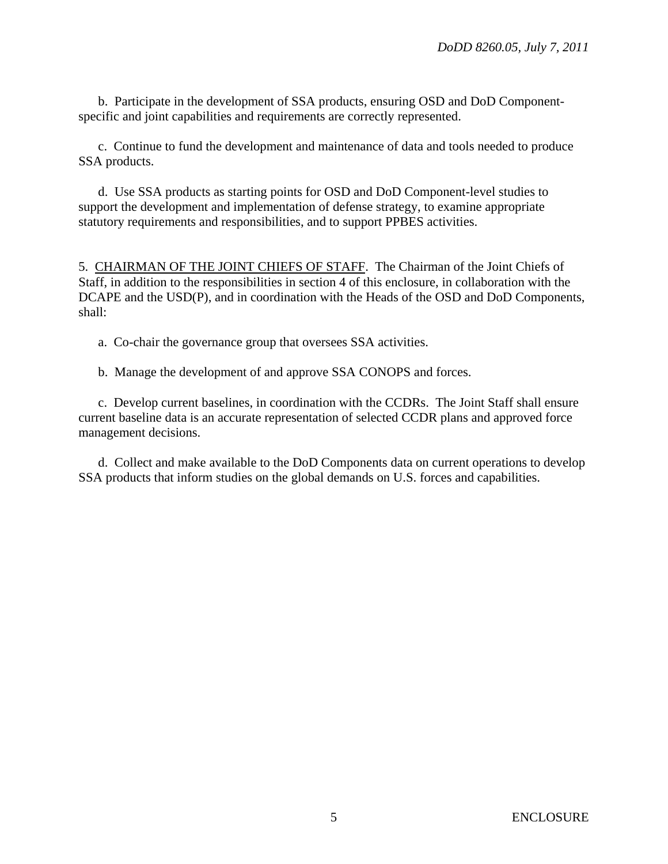b. Participate in the development of SSA products, ensuring OSD and DoD Componentspecific and joint capabilities and requirements are correctly represented.

c. Continue to fund the development and maintenance of data and tools needed to produce SSA products.

d. Use SSA products as starting points for OSD and DoD Component-level studies to support the development and implementation of defense strategy, to examine appropriate statutory requirements and responsibilities, and to support PPBES activities.

5. CHAIRMAN OF THE JOINT CHIEFS OF STAFF. The Chairman of the Joint Chiefs of Staff, in addition to the responsibilities in section 4 of this enclosure, in collaboration with the DCAPE and the USD(P), and in coordination with the Heads of the OSD and DoD Components, shall:

a. Co-chair the governance group that oversees SSA activities.

b. Manage the development of and approve SSA CONOPS and forces.

c. Develop current baselines, in coordination with the CCDRs. The Joint Staff shall ensure current baseline data is an accurate representation of selected CCDR plans and approved force management decisions.

d. Collect and make available to the DoD Components data on current operations to develop SSA products that inform studies on the global demands on U.S. forces and capabilities.